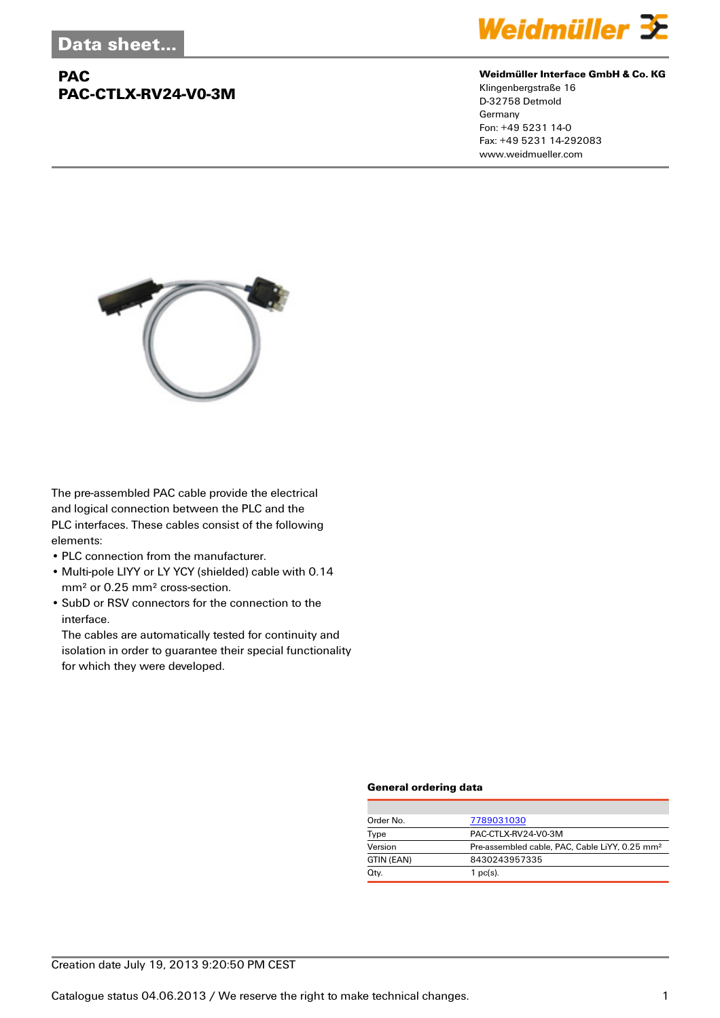## **PAC PAC-CTLX-RV24-V0-3M**



#### **Weidmüller Interface GmbH & Co. KG**

Klingenbergstraße 16 D-32758 Detmold Germany Fon: +49 5231 14-0 Fax: +49 5231 14-292083 www.weidmueller.com



The pre-assembled PAC cable provide the electrical and logical connection between the PLC and the PLC interfaces. These cables consist of the following elements:

- PLC connection from the manufacturer.
- Multi-pole LIYY or LY YCY (shielded) cable with 0.14 mm² or 0.25 mm² cross-section.
- SubD or RSV connectors for the connection to the interface.

The cables are automatically tested for continuity and isolation in order to guarantee their special functionality for which they were developed.

#### **General ordering data**

| Order No.  | 7789031030                                                 |
|------------|------------------------------------------------------------|
| Type       | PAC-CTLX-RV24-V0-3M                                        |
| Version    | Pre-assembled cable, PAC, Cable LiYY, 0.25 mm <sup>2</sup> |
| GTIN (EAN) | 8430243957335                                              |
| Qty.       | $1$ pc(s).                                                 |